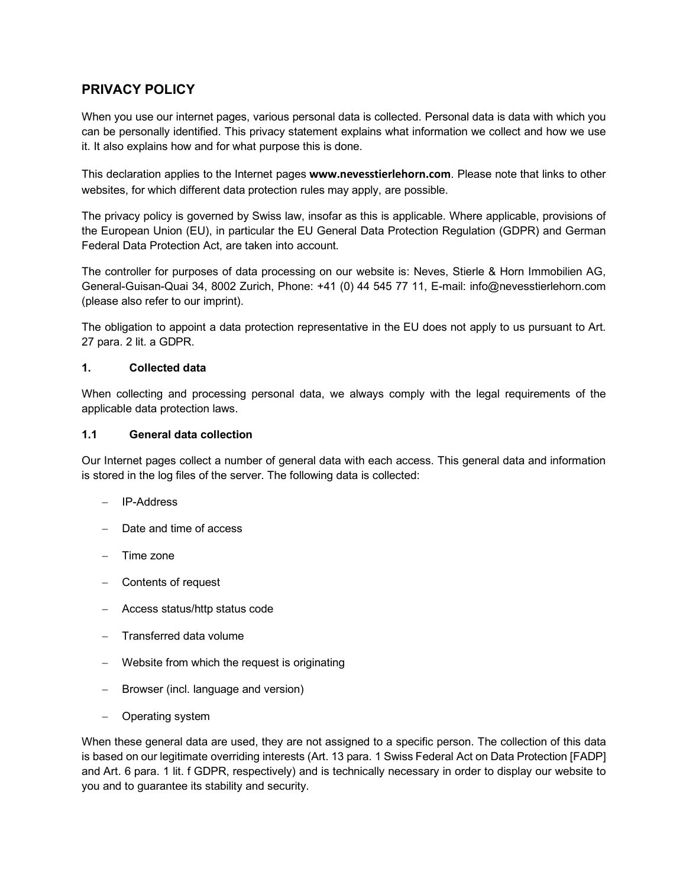# **PRIVACY POLICY**

When you use our internet pages, various personal data is collected. Personal data is data with which you can be personally identified. This privacy statement explains what information we collect and how we use it. It also explains how and for what purpose this is done.

This declaration applies to the Internet pages **www.nevesstierlehorn.com**. Please note that links to other websites, for which different data protection rules may apply, are possible.

The privacy policy is governed by Swiss law, insofar as this is applicable. Where applicable, provisions of the European Union (EU), in particular the EU General Data Protection Regulation (GDPR) and German Federal Data Protection Act, are taken into account.

The controller for purposes of data processing on our website is: Neves, Stierle & Horn Immobilien AG, General-Guisan-Quai 34, 8002 Zurich, Phone: +41 (0) 44 545 77 11, E-mail: info@nevesstierlehorn.com (please also refer to our imprint).

The obligation to appoint a data protection representative in the EU does not apply to us pursuant to Art. 27 para. 2 lit. a GDPR.

#### **1. Collected data**

When collecting and processing personal data, we always comply with the legal requirements of the applicable data protection laws.

#### **1.1 General data collection**

Our Internet pages collect a number of general data with each access. This general data and information is stored in the log files of the server. The following data is collected:

- IP-Address
- Date and time of access
- Time zone
- Contents of request
- Access status/http status code
- Transferred data volume
- Website from which the request is originating
- Browser (incl. language and version)
- Operating system

When these general data are used, they are not assigned to a specific person. The collection of this data is based on our legitimate overriding interests (Art. 13 para. 1 Swiss Federal Act on Data Protection [FADP] and Art. 6 para. 1 lit. f GDPR, respectively) and is technically necessary in order to display our website to you and to guarantee its stability and security.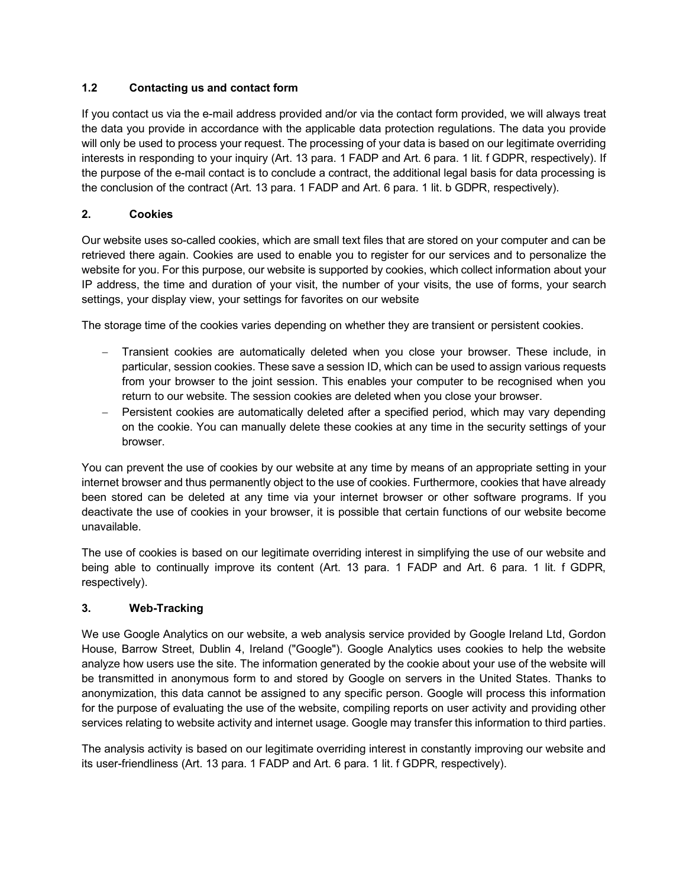## **1.2 Contacting us and contact form**

If you contact us via the e-mail address provided and/or via the contact form provided, we will always treat the data you provide in accordance with the applicable data protection regulations. The data you provide will only be used to process your request. The processing of your data is based on our legitimate overriding interests in responding to your inquiry (Art. 13 para. 1 FADP and Art. 6 para. 1 lit. f GDPR, respectively). If the purpose of the e-mail contact is to conclude a contract, the additional legal basis for data processing is the conclusion of the contract (Art. 13 para. 1 FADP and Art. 6 para. 1 lit. b GDPR, respectively).

### **2. Cookies**

Our website uses so-called cookies, which are small text files that are stored on your computer and can be retrieved there again. Cookies are used to enable you to register for our services and to personalize the website for you. For this purpose, our website is supported by cookies, which collect information about your IP address, the time and duration of your visit, the number of your visits, the use of forms, your search settings, your display view, your settings for favorites on our website

The storage time of the cookies varies depending on whether they are transient or persistent cookies.

- Transient cookies are automatically deleted when you close your browser. These include, in particular, session cookies. These save a session ID, which can be used to assign various requests from your browser to the joint session. This enables your computer to be recognised when you return to our website. The session cookies are deleted when you close your browser.
- Persistent cookies are automatically deleted after a specified period, which may vary depending on the cookie. You can manually delete these cookies at any time in the security settings of your browser.

You can prevent the use of cookies by our website at any time by means of an appropriate setting in your internet browser and thus permanently object to the use of cookies. Furthermore, cookies that have already been stored can be deleted at any time via your internet browser or other software programs. If you deactivate the use of cookies in your browser, it is possible that certain functions of our website become unavailable.

The use of cookies is based on our legitimate overriding interest in simplifying the use of our website and being able to continually improve its content (Art. 13 para. 1 FADP and Art. 6 para. 1 lit. f GDPR, respectively).

#### **3. Web-Tracking**

We use Google Analytics on our website, a web analysis service provided by Google Ireland Ltd, Gordon House, Barrow Street, Dublin 4, Ireland ("Google"). Google Analytics uses cookies to help the website analyze how users use the site. The information generated by the cookie about your use of the website will be transmitted in anonymous form to and stored by Google on servers in the United States. Thanks to anonymization, this data cannot be assigned to any specific person. Google will process this information for the purpose of evaluating the use of the website, compiling reports on user activity and providing other services relating to website activity and internet usage. Google may transfer this information to third parties.

The analysis activity is based on our legitimate overriding interest in constantly improving our website and its user-friendliness (Art. 13 para. 1 FADP and Art. 6 para. 1 lit. f GDPR, respectively).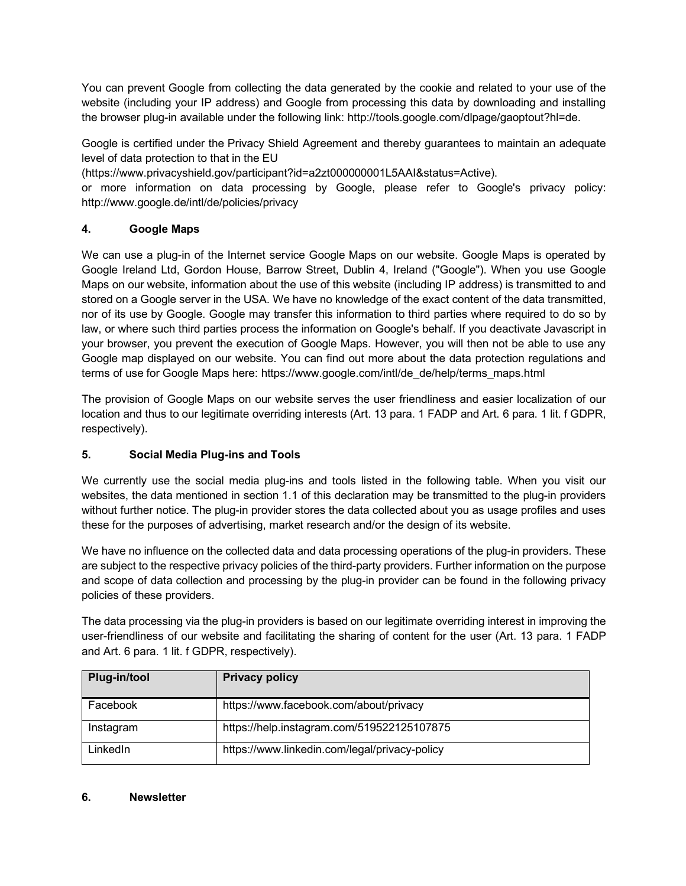You can prevent Google from collecting the data generated by the cookie and related to your use of the website (including your IP address) and Google from processing this data by downloading and installing the browser plug-in available under the following link: http://tools.google.com/dlpage/gaoptout?hl=de.

Google is certified under the Privacy Shield Agreement and thereby guarantees to maintain an adequate level of data protection to that in the EU

(https://www.privacyshield.gov/participant?id=a2zt000000001L5AAI&status=Active).

or more information on data processing by Google, please refer to Google's privacy policy: http://www.google.de/intl/de/policies/privacy

## **4. Google Maps**

We can use a plug-in of the Internet service Google Maps on our website. Google Maps is operated by Google Ireland Ltd, Gordon House, Barrow Street, Dublin 4, Ireland ("Google"). When you use Google Maps on our website, information about the use of this website (including IP address) is transmitted to and stored on a Google server in the USA. We have no knowledge of the exact content of the data transmitted, nor of its use by Google. Google may transfer this information to third parties where required to do so by law, or where such third parties process the information on Google's behalf. If you deactivate Javascript in your browser, you prevent the execution of Google Maps. However, you will then not be able to use any Google map displayed on our website. You can find out more about the data protection regulations and terms of use for Google Maps here: https://www.google.com/intl/de\_de/help/terms\_maps.html

The provision of Google Maps on our website serves the user friendliness and easier localization of our location and thus to our legitimate overriding interests (Art. 13 para. 1 FADP and Art. 6 para. 1 lit. f GDPR, respectively).

## **5. Social Media Plug-ins and Tools**

We currently use the social media plug-ins and tools listed in the following table. When you visit our websites, the data mentioned in section 1.1 of this declaration may be transmitted to the plug-in providers without further notice. The plug-in provider stores the data collected about you as usage profiles and uses these for the purposes of advertising, market research and/or the design of its website.

We have no influence on the collected data and data processing operations of the plug-in providers. These are subject to the respective privacy policies of the third-party providers. Further information on the purpose and scope of data collection and processing by the plug-in provider can be found in the following privacy policies of these providers.

The data processing via the plug-in providers is based on our legitimate overriding interest in improving the user-friendliness of our website and facilitating the sharing of content for the user (Art. 13 para. 1 FADP and Art. 6 para. 1 lit. f GDPR, respectively).

| Plug-in/tool | <b>Privacy policy</b>                         |
|--------------|-----------------------------------------------|
| Facebook     | https://www.facebook.com/about/privacy        |
| Instagram    | https://help.instagram.com/519522125107875    |
| LinkedIn     | https://www.linkedin.com/legal/privacy-policy |

#### **6. Newsletter**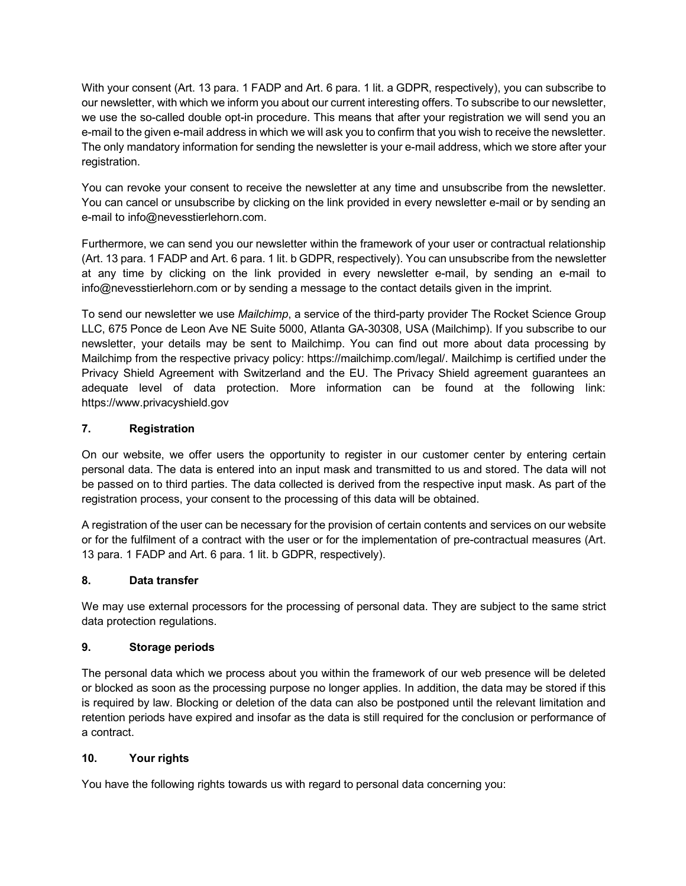With your consent (Art. 13 para. 1 FADP and Art. 6 para. 1 lit. a GDPR, respectively), you can subscribe to our newsletter, with which we inform you about our current interesting offers. To subscribe to our newsletter, we use the so-called double opt-in procedure. This means that after your registration we will send you an e-mail to the given e-mail address in which we will ask you to confirm that you wish to receive the newsletter. The only mandatory information for sending the newsletter is your e-mail address, which we store after your registration.

You can revoke your consent to receive the newsletter at any time and unsubscribe from the newsletter. You can cancel or unsubscribe by clicking on the link provided in every newsletter e-mail or by sending an e-mail to info@nevesstierlehorn.com.

Furthermore, we can send you our newsletter within the framework of your user or contractual relationship (Art. 13 para. 1 FADP and Art. 6 para. 1 lit. b GDPR, respectively). You can unsubscribe from the newsletter at any time by clicking on the link provided in every newsletter e-mail, by sending an e-mail to info@nevesstierlehorn.com or by sending a message to the contact details given in the imprint.

To send our newsletter we use *Mailchimp*, a service of the third-party provider The Rocket Science Group LLC, 675 Ponce de Leon Ave NE Suite 5000, Atlanta GA-30308, USA (Mailchimp). If you subscribe to our newsletter, your details may be sent to Mailchimp. You can find out more about data processing by Mailchimp from the respective privacy policy: https://mailchimp.com/legal/. Mailchimp is certified under the Privacy Shield Agreement with Switzerland and the EU. The Privacy Shield agreement guarantees an adequate level of data protection. More information can be found at the following link: https://www.privacyshield.gov

## **7. Registration**

On our website, we offer users the opportunity to register in our customer center by entering certain personal data. The data is entered into an input mask and transmitted to us and stored. The data will not be passed on to third parties. The data collected is derived from the respective input mask. As part of the registration process, your consent to the processing of this data will be obtained.

A registration of the user can be necessary for the provision of certain contents and services on our website or for the fulfilment of a contract with the user or for the implementation of pre-contractual measures (Art. 13 para. 1 FADP and Art. 6 para. 1 lit. b GDPR, respectively).

#### **8. Data transfer**

We may use external processors for the processing of personal data. They are subject to the same strict data protection regulations.

#### **9. Storage periods**

The personal data which we process about you within the framework of our web presence will be deleted or blocked as soon as the processing purpose no longer applies. In addition, the data may be stored if this is required by law. Blocking or deletion of the data can also be postponed until the relevant limitation and retention periods have expired and insofar as the data is still required for the conclusion or performance of a contract.

## **10. Your rights**

You have the following rights towards us with regard to personal data concerning you: